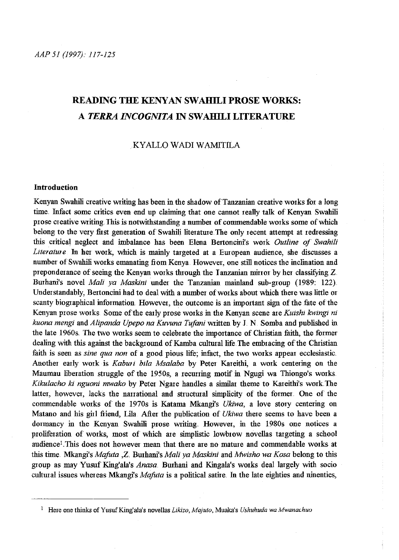# **READING THE KENYAN SWAHILI PROSE WORKS: A** *TERRA INCOGNITA* **IN SW AHILI LITERATURE**

## KY ALLOW ADI W AMITILA

## **Introduction**

Kenyan Swahili creative writing has been in the shadow of Tanzanian creative works for a long time. Infact some critics even end up claiming that one cannot really talk of Kenyan Swahili prose creative writing. This is notwithstanding a number of connnendable works some of which belong to the very first generation of Swahili literature. The only recent attempt at redressing this critical neglect and imbalance has been Elena Bertoncini's work *Outline of Swahili*  Literature In her work, which is mainly targeted at a European audience, she discusses a number of Swahili works emanating fiom Kenya. However, one still notices the inclination and preponderance of seeing the Kenyan works through the Tanzanian mirror by her classifying Z. Burhani's novel *Mali ya Maskini* under the Tanzanian mainland sub-group (1989: 122). Understandably, Bertoncini had to deal with a number of works about which there was little or scanty biographical information. However, the outcome is an important sign of the fate of the Kenyan prose works. Some of the early prose works in the Kenyan scene are *Kuishi kwingi ni kuona mengi* and *Alipanda Upepo na Kuvuna Tujani* written by l N. Somba and published in the late 1960s. The two works seem to celebrate the importance of Christian faith, the former dealing with this against the background of Kamba cultural life. The embracing of the Christian faith is seen as *sine qua non* of a good pious life; infact, the two works appear ecclesiastic. Another early work is *Kaburi bila Msalaba* by Peter Kareithi, a work centering on the Maumau liberation struggle of the 1950s, a recurring motif in Ngugi wa Thiongo's works. *Kikulacho ki nguoni mwako* by Peter Ngare handles a similar theme to Kareithi's work The latter, however, lacks the narrational and structural simplicity of the former. One of the connnendable works of the 1970s is Katama Mkangi's *Ukiwa,* a love story centering on Matano and his girl fiiend, Lila After the publication of *Ukiwa* there seems to have been a dormancy in the Kenyan Swahili prose writing. However, in the 1980s one notices a proliferation of works, most of which are simplistic lowbrow novellas targeting a school audience<sup>1</sup>. This does not however mean that there are no mature and commendable works at this time Mkangi's *Mafuta ,Z*. Burhani's *Mali ya Maskini* and *Mwisho wa Kosa* belong to this group as may Yusuf King'ala's *Anasa*. Burhani and Kingala's works deal largely with socio cultural issues whereas Mkangi's *Mafuta* is a political satire. In the late eighties and ninenties,

<sup>&</sup>lt;sup>1</sup> Here one thinks of Yusuf King'ala's novellas *Likizo, Majuto, Muaka's Ushuhuda wa Mwanachuo*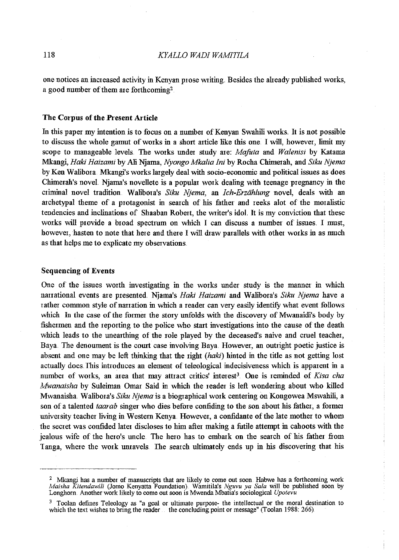one notices an increased activity in Kenyan prose Wiiting. Besides the aheady published works, a good number of them are forthcoming<sup>2</sup>

## The Corpus of the Present Article

In this paper my intention is to focus on a number of Kenyan Swahili works. It is not possible to discuss the whole gamut of works in a short article like this one I will, however, limit my scope to manageable levels. The works under study are: *Mafuta* and *Walenisi* by Katama Mkangi, *Haki Haizami* by Ali Njarna, *Nyongo Mkalia lni* by Rocha Chinrerah, and *Siku Njema*  by Ken Walibora. Mkangi's works largely deal with socio-economic and political issues as does Chimerah's novel. Njama's novellete is a popular work dealing with teenage pregnancy in the ctiminal novel tradition. Walibota's Siku Njema, an Ich-Erzählung novel, deals with an archetypal theme of a protagonist in search of his father and reeks alot of the moralistic tendencies and inclinations of Shaaban Robert, the writer's idol. It is my conviction that these works will provide a broad spectrum on which I can discuss a number of issues. I must, however, hasten to note that here and there I will draw parallels with other works in as much as that helps me to explicate my obsetvations.

### Sequencing of Events

One of the issues worth investigating in the works under study is the manner in which narrational events are presented. Njama's *Haki Haizami* and Walibora's *Siku Njema* have a rather common style of narration in which a reader can very easily identify what event follows which In the case of the former the story unfolds with the discovery of Mwanaidi's body by fishermen and the reporting to the police who start investigations into the cause of the death which leads to the unearthing of the role played by the deceased's naive and cruel teacher, Baya. The denoument is the court case involving Baya. However, an outright poetic justice is absent and one may be left thinking that the right (haki) hinted in the title as not getting lost actually does. This introduces an element of teleological indecisiveness which is apparent in a number of works, an area that may attract critics' interest<sup>3</sup>. One is reminded of *Kisa cha Mwanaisha* by Suleiman Omar Said in which the reader is left wondering about who killed Mwanaisha. Walibma's *Siku Njema* is a biographical work centering on Kongowea Mswahili, a son of a talented *taarab* singer who dies before confiding to the son about his father, a former university teacher living in Western Kenya. However, a confidante of the late mother to whom the secret was confided later discloses to him after making a futile attempt in cahoots with the jealous wife of the hero's uncle. The hero has to embark on the search of his father from Tanga, where the work unravels. The search ultimately ends up in his discovering that his

 $2$  Mkangi has a number of manuscripts that are likely to come out soon. Habwe has a forthcoming work *Maisha Kitendawili* (Jomo Kenyatta Foundation) Wamitila's *Nguvu ya Sa/a* will be published soon by Longbom. Another work likely to come out soon is Mwenda Mbatia's sociological *Upotevu* 

<sup>&</sup>lt;sup>3</sup> Toolan defines Teleology as "a goal or ultimate purpose- the intellectual or the moral destination to which the text wishes to bring the reader the concluding point or message" (Toolan 1988:  $266$ ).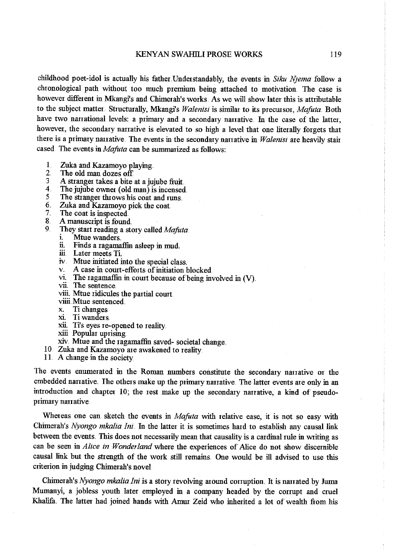childhood poet-idol is actually his father Understandably, the events in *Siku N;ema* follow a chronological path without too much premium being attached to motivation. The case is however different in Mkangi's and Chimerah's works. As we will show later this is attributable to the subject matter. Structurally, Mkangi's *Walenisi* is similar to its precursor, *Mafuta*. Both have two narrational levels: a primary and a secondary narrative. In the case of the latter, however, the secondary narrative is elevated to so high a level that one literally forgets that there is a primary narrative. The events in the secondary narrative in *Walenisi* are heavily stair cased The events in *Mafuta* can be summarized as follows:

- 1. Zuka and Kazamoyo playing.
- The old man dozes off.
- 3 A stranger takes a bite at a jujube fiuit.<br>4 The jujube owner (old man) is incensed
- 4. The jujube owner (old man) is incensed.<br>5. The stranger throws his coat and runs
- 5 The stranger throws his coat and runs.<br>6 Zuka and Kazamovo nick the coat.
- 6. Zuka and Kazamoyo pick the coat.<br>7. The coat is inspected.
- 7. The coat is inspected.<br>8. A manuscript is found
- 8. A manuscript is found.<br>9. They start reading a sta
- They start reading a story called *Mafuta* **i**. Mtue wanders
	- Mtue wanders
	- ii. Finds a ragamaffin asleep in mud,
	- iii Later meets Ti.
	- iv. Mtue initiated into the special class.
	- v. A case in comt-efforts of initiation blocked
	- vi. The ragamaffin in court because of being involved in  $(V)$ .
	- vii. The sentence.
	- viii. Mtue ridicules the partial court.
	- viiii. Mtue sentenced
	- x. Ti changes
	- Ti wanders.
	- xii. Ti's eyes re-opened to reality
	- xiii Popular uprising.
	- xiv. Mtue and the ragamaffin saved- societal change ..
- 10 Zuka and Kazamoyo are awakened to reality
- 11 A change in the society

The events enumerated in the Roman numbers constitute the secondary narrative or the embedded narrative. The others make up the primary narrative. The latter events are only in an introduction and chapter 10; the rest make up the secondary narrative, a kind of pseudoprimary narrative.

Whereas one can sketch the events in *Mafuta* with relative ease, it is not so easy with Chimerah's *Nyongo mkalia lni..* Iu the latter it is sometimes hard to establish any causal link between the events. This does not necessarily mean that causality is a cardinal rule in writing as can be seen in *A/ice in Wonderland* where the experiences of Alice do not show discernible causal link but the strength of the work still remains.. One would be ill advised to use this criterion in judging Chimerah's novel.

Chimerah's *Nyongo mkalia lni* is a story revolving arouud corruption. It is narrated by Juma Mumanyi, a jobless youth later employed in a company headed by the corrupt and cruel Khalifa. The latter had joined hands with Amur Zeid who inherited a lot of wealth fiom his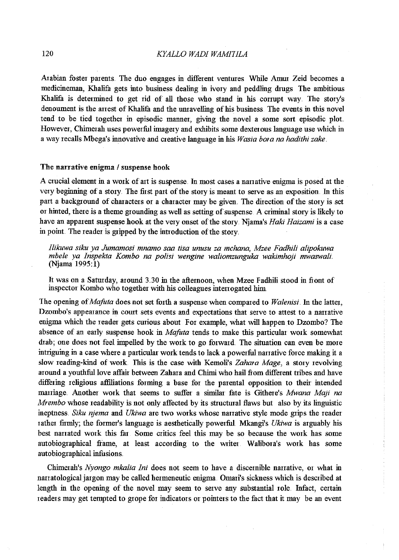Arabian foster parents. The duo engages in different ventures While Amur Zeid becomes a medicineman, Khalifa gets into business dealing in ivory and peddling drugs The ambitious Khalifa is determined to get rid of all those who stand in his conupt way. The story's denoument is the arrest of Khalifa and the unravelling of his business. The events in this novel tend to be tied together in episodic manner, giving the novel a some sort episodic plot. However, Chimerah uses powerful imagery and exhibits some dexterous language use which in a way recalls Mbega's innovative and creative language in his *Wasia bora na hadithi zake.* 

### The narrative enigma / suspense hook

A crucial element in a work of art is suspense. In most cases a narrative enigma is posed at the very beginning of a story The fust part of the story is meant to serve as an exposition. In this part a background of characters or a character may be given. The direction of the story is set or hinted, there is a theme grounding as well as setting of suspense. A criminal story is likely to have an apparent suspense hook at the very onset of the story. Njama's *Haki Haizami* is a case in point. The reader is gripped by the introduction of the story.

*Ilikuwa siku ya Jumamosi mnamo saa tisa unusu za mchana, Mzee Fadhili alipokuwa mbele ya Inspekia Kombo na polisi wengine waliomzunguka wakimhoji mwaswali.*  (Njama 1995:1)

It was on a Saturday, around 3.30 in the afternoon, when Mzee Fadhili stood in fiont of inspector Kombo who together with his colleagues interrogated him.

The opening *ofMafuta* does not set forth a suspense when compared to *Walenisi* In the latter, Dzombo's appearance in court sets events and expectations that serve to attest to a narrative enigma which the reader gets curious about For example, what will happen to Dzombo? The absence of an early suspense hook in *Mafuta* tends to make this particular work somewhat drab; one does not feel impelled by the work to go forward. The situation can even be more intriguing in a case where a particular work tends to lack a powerful narrative force making it a slow reading-kind of work. This is the case with Kemoli's Zahara Mage, a story revolving around a youthful love affair between Zahara and Chimi who hail from different tribes and have differing religious affiliations forming a base for the parental opposition to their intended marriage. Another work that seems to suffer a siniilar fate is Githere's *Mwana Maji na Mrembo* whose readability is not only affected by its structural flaws but also by its linguistic ineptness. *Siku njema* and *Ukiwa* are two works whose narmtive style mode grips the reader rather firmly; the former's language is aesthetically powerful. Mkangi's *Ukiwa* is arguably his best nanated wmk this far Some critics feel this may be so because the work has some autobiographical frame, at least according to the writer Walibora's work has some autobiographical infusions.

Chimerah's *Nyongo mkalia Ini* does not seem to have a discernible narrative, or what in nanatological jargon may be called hermeneutic enigma. Omari's sickness which is described at length in the opening of the novel may seem to serve any substantial role. Infact, certain readers may get tempted to grope for indicators or pointers to the fact that it may be an event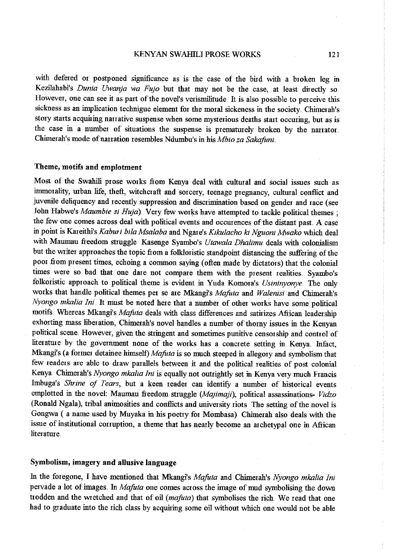#### KENYAN SWAHILI PROSE WORKS 121

with defered or postponed significance as is the case of the bird with a broken leg in Kezilahabi's *Dunia Uwanja wa Fujo* but that may not be the case, at least directly so. However, one can see it as part of the novel's verismilitude. It is also possible to perceive this sickness as an implication technigue element for the moral sickeness in the society. Chimerah's story starts acquiring narrative suspense when some mysterious deaths start occuring, but as is the case in a number of situations the suspense is prematurely broken by the narrator. Chimerah's mode of narration resembles Ndumbu's in his *Mbio za Sakafuni*.

## Theme, motifs and emplotment

Most of the Swahili prose works fiom Kenya deal with cultural and social issues such as innnmality, urban life, theft, witchcraft and sorcery, teenage pregnancy, cultural conflict and juvenile deliquency and recently suppression and discrimination based on gender and race (see John Habwe's *Maumbie si Huja*). Very few works have attempted to tackle political themes ; the few one comes across deal with political events and occurences of the distant past. A case in point is Kateithi's *Kaburi bila Msalaba* and Ngare's *Kikulacho ki Nguoni Mwako* which deal with Maurnau fieedom struggle Kasenge Syambo's *Utawala Dhalimu* deals with colonialism but the writer approaches the topic from a folkloristic standpoint distancing the suffering of the poor from present times, echoing a common saying (often made by dictators) that the colonial times were so bad that one dare not compare them with the present realities. Syambo's folkoristic approach to political theme is evident in Yuda Komora's *Usininyonye*. The only wmks that handle political themes per se are Mkangi's *Majuta* and *Walenisi* and Chimerah's *Nyongo mkalia lni* It must be noted here that a number of other works have some political  $m$ otifs. Whereas Mkangi's *Mafuta* deals with class differences and satirizes African leadership exhorting mass liberation, Chimerah's novel handles a number of thorny issues in the Kenyan political scene. However, given the stringent and sometimes punitive censorship and control of literature by the government none of the works has a concrete setting in Kenya. Infact, Mkangi's (a former detainee himself) *Mafuta* is so much steeped in allegory and symbolism that few readers are able to draw parallels between it and the political realities of post colonial Kenya. Chimerah's *Nyongo mkalia Ini* is equally not outrightly set in Kenya very much Francis Imbuga's *Shrine of Tears*, but a keen reader can identify a number of historical events emplotted in the novel: Maurnau fieedom struggle *(Majimaji),* political assassinations- *Vidzo*  (Ronald Ngala), tribal animosities and conflicts and university riots The setting of the novel is Gongwa (a name used by Muyaka in his poetry for Mombasa). Chimerah also deals with the issue of institutional corruption, a theme that has nearly become an archetypal one in Afiican literature.

## Symbolism, imagery and allusive language

In the foregone, I have mentioned that Mkangi's *Mafuta* and Chimerah's *Nyongo mkalia lni*  pervade a lot of images. In *Mafuta* one comes across the image of mud symbolising the down trodden and the Wietched and that of oil *(mafota)* that symbolises the rich. We read that one had to graduate into the rich class by acquiring some oil without which one would not be able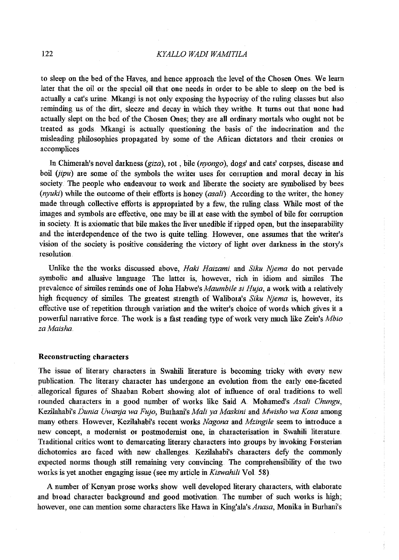## 122 *KYALLO WADI WAMITILA*

to sleep on the bed of the Haves, and hence approach the level of the Chosen Ones. We learn later that the oil or the special oil that one needs in order to be able to sleep on the bed is actually a cat's urine. Mkangi is not only exposing the hypocrisy of the ruling classes but also 1 eminding us of the dirt, sleeze and decay in which they writhe. It turns out that none had actually slept on the bed of the Chosen Ones; they are all ordinary mortals who ought not be treated as gods. Mkangi is actually questioning the basis of the indocrination and the misleading philosophies propagated by some of the Afiican dictators and their cronies 01 accomplices

In Chimeralr's novel darkness *(giza),* rot, bile *(nyongo),* dogs' and cats' c01pses, disease and boil *(jipu)* are some of the symbols the writer uses for corruption and moral decay in his society. The people who endeavour to work and liberate the society are symbolised by bees *(nyuki)* while the outcome of their efforts is honey *(asali)* According to the writer, the honey made through collective efforts is appropriated by a few, the ruling class. While most of the images and symbols are effective, one may be ill at ease with the symbol of bile for corruption in society. It is axiomatic that bile makes the liver unedible if ripped open, but the inseparability and the interdependence of the two is quite telling. However, one assmnes that the writer's vision of the society is positive considering the victory of light over darkness in the story's resolution.

Unlike the the w01ks discussed above, *Haki Haizami* and *Siku Njema* do not pervade symbolic and allusive language. The latter is, however, rich in idiom and similes The prevalence of similes reminds one of John Habwe's *Maumbile si Huja,* a work with a relatively high frequency of similes. The greatest strength of Walibora's Siku Njema is, however, its effective use of repetition through variation and the writer's choice of words which gives it a powerful narrative force. The work is a fast reading type of work vety much like Zein's *Mbio zaMaisha* 

## Reconstructing characters

The issue of literary characters in Swahili literature is becoming tricky with every new publication. The literary character has undergone an evolution from the early one-faceted allegorical figures of Shaaban Robert showing alot of influence of oral traditions to well rounded characters in a good number of works like Said A Mohamed's *Asali Chungu*, Kezilahabi's *Dunia Uwanja wa Fujo*, Burhani's *Mali ya Maskini* and *Mwisho wa Kosa* among many others. However, Kezilalrabi's recent works *Nagona* and *Mzingile* seem to introduce a new concept, a modernist or postmodernist one, in characterisation in Swahili literature. Traditional critics wont to demarcating literary characters into groups by invoking Forsterian dichotomies are faced with new challenges. Kezilahabi's characters defy the commonly expected norms though still remaining very convincing. The comprehensibility of the two works is yet another engaging issue (see my article in *Kiswahili* Vol. 58)

A number of Kenyan prose works show well developed literary characters, with elaborate and broad character background and good motivation. The number of such works is high; however, one can mention some characters like Hawa in King'ala's *Anasa*, Monika in Burhani's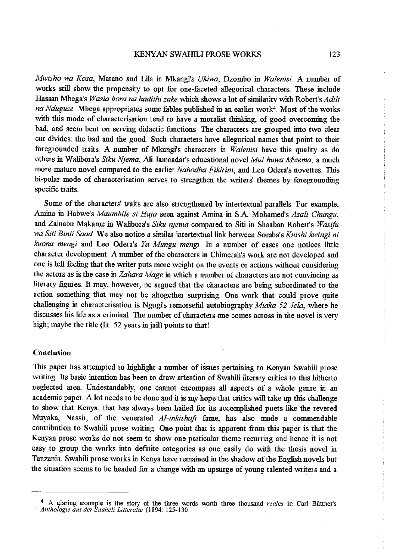## KENYAN SWAHILI PROSE WORKS 123

*lvfwisho wa Kosa,* Matano and Lila in Mkangi's *Ukiwa,* Dzombo in *Walenisi.* A number of works still show the propensity to opt for one-faceted allegorical characters. These include Hassan Mbega's *W asia bora na hadithi zake* which shows a lot of similarity with Robert's *Adili na Nduguze*. Mbega appropriates some fables published in an earlier work<sup>4</sup>. Most of the works with this mode of characterisation tend to have a moralist thinking, of good overcoming the bad, and seem bent on serving didactic functions. The characters are grouped into two clear cut divides: the bad and the good. Such characters have allegorical names that point to their foregrounded traits .. A number of Mkangi's chaiacters in *Walenisi* have this quality as do others in Walibora's *Siku Njema*, Ali Jamaadar's educational novel *Mui huwa Mwema*, a much more mature novel compared to the earlier *Nahodha Fikirini*, and Leo Odera's novettes. This bi-polar mode of characterisation serves to strengthen the writers' themes by foregrounding specific traits

Some of the characters' traits are also strengthened by intertextual parallels For example, Amina in Habwe's *Maumbile si Huja* seen against Amina in S.A. Mohamed's *Asali Chungu*, and Zainabu Makame in Walibora's Siku njema compared to Siti in Shaaban Robert's Wasifu *wa Siti Binti Saad*. We also notice a similar intertextual link between Somba's *Kuishi kwingi ni kuona mengi* and Leo Odera's *Ya Mungu mengi ..* In a number of cases one notices little chaiacter development A number of the characters in Chimerah's work are not developed and one is left feeling that the Wiiter puts more weight on the events or actions without considering the actors as is the case in *Zahara Mage* in which a number of characters aie not convincing as literary figures. It may, however, be argued that the characters are being subordinated to the action something that may not be altogether surprising. One work that could prove quite challenging in characterisation is Ngugi's remorseful autobiography *Miaka 52 Jela,* where he discusses his life as a criminal. The number of characters one comes across in the novel is very high; maybe the title (lit. 52 years in jail) points to that!

#### Conclusion

This paper has attempted to highlight a number of issues pertaining to Kenyan Swahili prose writing Its basic intention has been to draw attention of Swahili literary critics to this hitherto neglected aiea. Undestandably, one cannot encompass all aspects of a whole genre in an academic paper .. A lot needs to be done and it is my hope that critics will take up this challenge to show that Kenya, that has always been hailed for its accomplished poets like the revered Muyaka, Nassir, of the venerated *Al-inkishaji* faine, has also made a commendable contribution to Swahili prose writing. One point that is apparent from this paper is that the Kenyan prose works do not seem to show one particular theme recurring and hence it is not easy to group the works into definite categories as one easily do with the thesis novel in Tanzania. Swahili prose works in Kenya have remained in the shadow of the English novels but the situation seems to be headed for a change with an upsurge of young talented writers and a

<sup>&</sup>lt;sup>4</sup> A glaring example is the story of the three words worth three thousand *reales* in Carl Büttner's *Anthologie aus der Suaheli-Litteratur* (1894: 125-130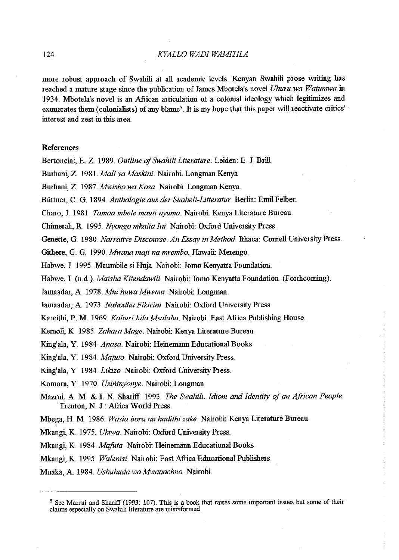more robust approach of Swahili at all academic levels. Kenyan Swahili prose writing has reached a mature stage since the publication of James Mbotela's novel *Uhuru wa Watumwa* in 1934 Mbotela's novel is an African atticulation of a colonial ideology which legitimizes and exonerates them (colonialists) of any blame<sup>5</sup>. It is my hope that this paper will reactivate critics' interest and zest in this area

### References

'

Bertoncini, E. Z. 1989. *Outline of Swahili Literature.* Leiden: E. J. Brill.

Burhani, Z. 1981. *Mali ya Maskini*. Nairobi. Longman Kenya.

Bmhani, Z. 1987 *Mwisho wa Kosa.* Naitobi Longman Kenya ..

Büttner, C. G. 1894. *Anthologie aus der Suaheli-Litteratur*. Berlin: Emil Felber.

Charo, J. 1981. *Tamaa mbele mauti nyuma.* Naitobi. Kenya Literature Bmeau

Chimerah, R. 1995. *Nyongo mkalia Ini*. Nairobi: Oxford University Press.

Genette, G 1980 .. *Narrative Discourse An Essay in Method* Ithaca: Comell University Ptess

Githere, G. G. 1990. *Mwana maji na mrembo.* Hawaii: Merengo.

Habwe, J 1995 Mamnbile si Huja. Naitobi: Jomo Kenyatta Foundation

Habwe, J. (n.d.) *Maisha Kitendawili* Nairobi: Jomo Kenyatta Foundation (Forthcoming).

Jamaadat, A 1978 *Mui huwa Mwema ..* Naitobi: Longman

Tatnaadar, A 1973. *Nahodha Fikirini* Naitobi: Oxford University Ptess.

Kareithi, P. M. 1969. *Kaburi bila Msalaba*. Nairobi. East Africa Publishing House.

Kemoli, K 1985 *Zahara Mage* Nairobi: Kenya Literature Bureau

King'ala, Y 1984 *Anasa.* Naitobi: Heinemann Educational Books

King'ala, Y. 1984. *Majuto*. Nairobi: Oxford University Press.

King'ala, Y 1984. *Likizo*. Nairobi: Oxford University Press.

Komora, Y 1970 *Usininyonye.* Naitobi: Longman

Mazmi, A M. & 1 N. Shatiff 1993.. *The Swahih Idiom and Identity of an African People*  Trenton, N. J.: Africa World Press.

Mbega, H M. 1986 .. *Wasia bora na hadithi zake.* Naitobi: Kenya Literature Bmeau.

Mkangi, K. 1975. *Ukiwa*. Nairobi: Oxford University Press.

Mkangi, K 1984 *Mafuta* Naitobi: Heinemann Educational Books

Mkangi, K 1995 *Walenisi* Naitobi: East Africa Educational Publishets

Muaka, A 1984. *Ushuhuda wa Mwanachuo.* Naitobi

 $<sup>5</sup>$  See Mazrui and Shariff (1993: 107). This is a book that raises some important issues but some of their</sup> claims especially on Swahili literature are misinformed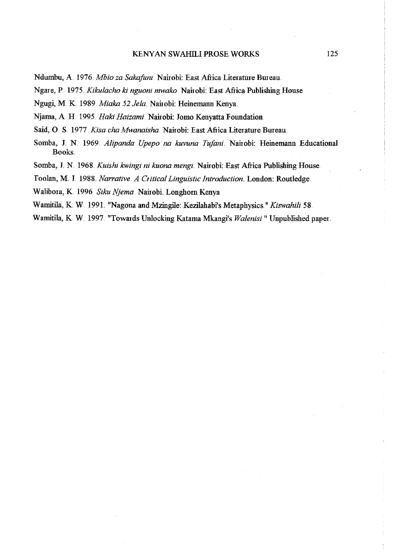## KENYAN SWAHILIPROSE WORKS

Ndumbu, A 1976. *Mbio za Sakafoni.* Naimbi: East Afiica Literature Bureau.

Ngare, P. 1975. *Kikulacho ki nguoni mwako*. Nairobi: East Africa Publishing House

Ngugi, M. K. 1989. Miaka 52 Jela. Nairobi: Heinemann Kenya.

Njama, A. H. 1995. *Haki Haizami* Nairobi: Jomo Kenyatta Foundation.

Said, O. S. 1977 *Kisa cha Mwanaisha*. Nairobi: East Africa Literature Bureau.

Somba, J. N. 1969. *Alipanda Upepo na kuvuna Tufani*. Nairobi: Heinemann Educational Books.

Somba, J. N. 1968. *Kuishi kwingi ni kuona mengi*. Nairobi: East Africa Publishing House.

Toolan, M. l. 1988. *Narrative. A Critical Linguistic Introduction.* London: Routledge.

Walibora, K 1996 *Siku Njema* Naiiobi Longhom Kenya

Wamitila, K. W. 1991. "Nagona and Mzingile: Kezilahabi's Metaphysics." *Kiswahili* 58.

Wamitila, K. W. 1997. "Towards Unlocking Katama Mkangi's *Walenisi* " Unpublished paper.